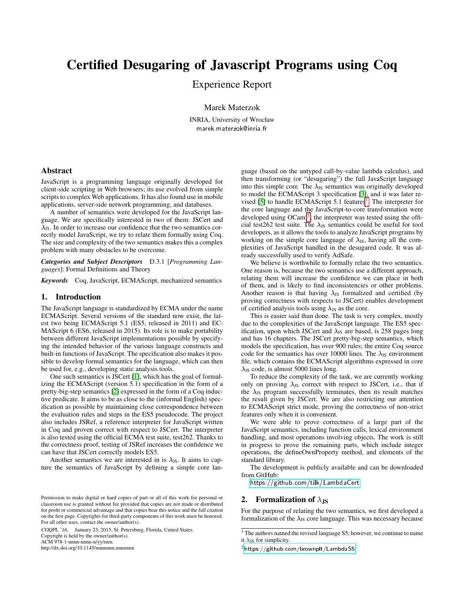# Certified Desugaring of Javascript Programs using Coq

Experience Report

Marek Materzok

INRIA, University of Wrocław marek.materzok@inria.fr

## Abstract

JavaScript is a programming language originally developed for client-side scripting in Web browsers; its use evolved from simple scripts to complex Web applications. It has also found use in mobile applications, server-side network programming, and databases.

A number of semantics were developed for the JavaScript language. We are specifically interested in two of them: JSCert and  $\lambda_{\text{JS}}$ . In order to increase our confidence that the two semantics correctly model JavaScript, we try to relate them formally using Coq. The size and complexity of the two semantics makes this a complex problem with many obstacles to be overcome.

*Categories and Subject Descriptors* D.3.1 [*Programming Languages*]: Formal Definitions and Theory

*Keywords* Coq, JavaScript, ECMAScript, mechanized semantics

#### 1. Introduction

The JavaScript language is standardized by ECMA under the name ECMAScript. Several versions of the standard now exist, the latest two being ECMAScript 5.1 (ES5, released in 2011) and EC-MAScript 6 (ES6, released in 2015). Its role is to make portability between different JavaScript implementations possible by specifying the intended behavior of the various language constructs and built-in functions of JavaScript. The specification also makes it possible to develop formal semantics for the language, which can then be used for, e.g., developing static analysis tools.

One such semantics is JSCert [\[1\]](#page-1-0), which has the goal of formalizing the ECMAScript (version 5.1) specification in the form of a pretty-big-step semantics [\[2\]](#page-1-1) expressed in the form of a Coq inductive predicate. It aims to be as close to the (informal English) specification as possible by maintaining close correspondence between the evaluation rules and steps in the ES5 pseudocode. The project also includes JSRef, a reference interpreter for JavaScript written in Coq and proven correct with respect to JSCert. The interpreter is also tested using the official ECMA test suite, test262. Thanks to the correctness proof, testing of JSRef increases the confidence we can have that JSCert correctly models ES5.

Another semantics we are interested in is  $\lambda_{\text{JS}}$ . It aims to capture the semantics of JavaScript by defining a simple core lan-

COQPL '16, January 23, 2015, St. Petersburg, Florida, United States. Copyright is held by the owner/author(s).

ACM 978-1-nnnn-nnnn-n/yy/mm.

http://dx.doi.org/10.1145/nnnnnnn.nnnnnnn

guage (based on the untyped call-by-value lambda calculus), and then transforming (or "desugaring") the full JavaScript language into this simple core. The  $\lambda_{\text{JS}}$  semantics was originally developed to model the ECMAScript 3 specification [\[3\]](#page-1-2), and it was later re-vised [\[5\]](#page-1-3) to handle ECMAScript 5.[1](#page-0-0) features<sup>1</sup>. The interpreter for the core language and the JavaScript-to-core transformation were developed using OCaml<sup>[2](#page-0-1)</sup>; the interpreter was tested using the official test262 test suite. The  $\lambda_{\text{JS}}$  semantics could be useful for tool developers, as it allows the tools to analyze JavaScript programs by working on the simple core language of  $\lambda_{\text{JS}}$ , having all the complexities of JavaScript handled in the desugared code. It was already successfully used to verify AdSafe.

We believe is worthwhile to formally relate the two semantics. One reason is, because the two semantics use a different approach, relating them will increase the confidence we can place in both of them, and is likely to find inconsistencies or other problems. Another reason is that having  $\lambda_{\text{JS}}$  formalized and certified (by proving correctness with respects to JSCert) enables development of certified analysis tools using  $\lambda_{\text{JS}}$  as the core.

This is easier said than done. The task is very complex, mostly due to the complexities of the JavaScript language. The ES5 specification, upon which JSCert and  $\lambda_{\text{JS}}$  are based, is 258 pages long and has 16 chapters. The JSCert pretty-big-step semantics, which models the specification, has over 900 rules; the entire Coq source code for the semantics has over 10000 lines. The  $\lambda_{\text{JS}}$  environment file, which contains the ECMAScript algorithms expressed in core  $\lambda_{\text{JS}}$  code, is almost 5000 lines long.

To reduce the complexity of the task, we are currently working only on proving  $\lambda_{JS}$  correct with respect to JSCert, i.e., that if the  $\lambda_{\text{JS}}$  program successfully terminates, then its result matches the result given by JSCert. We are also restricting our attention to ECMAScript strict mode, proving the correctness of non-strict features only when it is convenient.

We were able to prove correctness of a large part of the JavaScript semantics, including function calls, lexical environment handling, and most operations involving objects. The work is still in progress to prove the remaining parts, which include integer operations, the defineOwnProperty method, and elements of the standard library.

The development is publicly available and can be downloaded from GitHub:

<https://github.com/tilk/LambdaCert>

### 2. Formalization of  $\lambda_{\rm JS}$

For the purpose of relating the two semantics, we first developed a formalization of the  $\lambda_{\text{JS}}$  core language. This was necessary because

Permission to make digital or hard copies of part or all of this work for personal or classroom use is granted without fee provided that copies are not made or distributed for profit or commercial advantage and that copies bear this notice and the full citation on the first page. Copyrights for third-party components of this work must be honored. For all other uses, contact the owner/author(s).

<span id="page-0-0"></span><sup>&</sup>lt;sup>1</sup> The authors named the revised language S5; however, we continue to name it  $\lambda_{\text{JS}}$  for simplicity.

<span id="page-0-1"></span><sup>2</sup> <https://github.com/brownplt/LambdaS5>